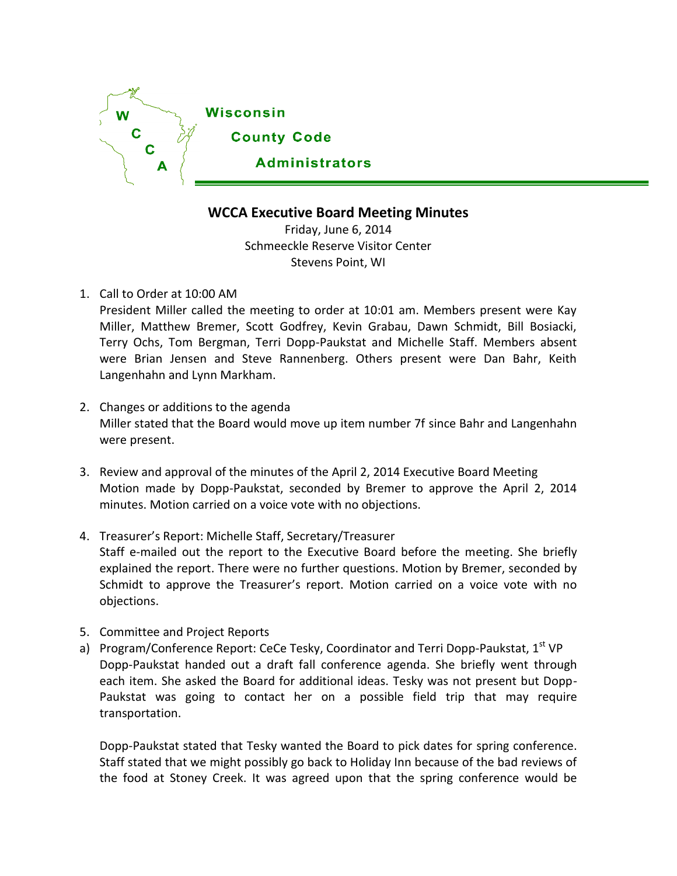

## **WCCA Executive Board Meeting Minutes**

Friday, June 6, 2014 Schmeeckle Reserve Visitor Center Stevens Point, WI

## 1. Call to Order at 10:00 AM

President Miller called the meeting to order at 10:01 am. Members present were Kay Miller, Matthew Bremer, Scott Godfrey, Kevin Grabau, Dawn Schmidt, Bill Bosiacki, Terry Ochs, Tom Bergman, Terri Dopp-Paukstat and Michelle Staff. Members absent were Brian Jensen and Steve Rannenberg. Others present were Dan Bahr, Keith Langenhahn and Lynn Markham.

- 2. Changes or additions to the agenda Miller stated that the Board would move up item number 7f since Bahr and Langenhahn were present.
- 3. Review and approval of the minutes of the April 2, 2014 Executive Board Meeting Motion made by Dopp-Paukstat, seconded by Bremer to approve the April 2, 2014 minutes. Motion carried on a voice vote with no objections.
- 4. Treasurer's Report: Michelle Staff, Secretary/Treasurer Staff e-mailed out the report to the Executive Board before the meeting. She briefly explained the report. There were no further questions. Motion by Bremer, seconded by Schmidt to approve the Treasurer's report. Motion carried on a voice vote with no objections.
- 5. Committee and Project Reports
- a) Program/Conference Report: CeCe Tesky, Coordinator and Terri Dopp-Paukstat, 1<sup>st</sup> VP Dopp-Paukstat handed out a draft fall conference agenda. She briefly went through each item. She asked the Board for additional ideas. Tesky was not present but Dopp-Paukstat was going to contact her on a possible field trip that may require transportation.

Dopp-Paukstat stated that Tesky wanted the Board to pick dates for spring conference. Staff stated that we might possibly go back to Holiday Inn because of the bad reviews of the food at Stoney Creek. It was agreed upon that the spring conference would be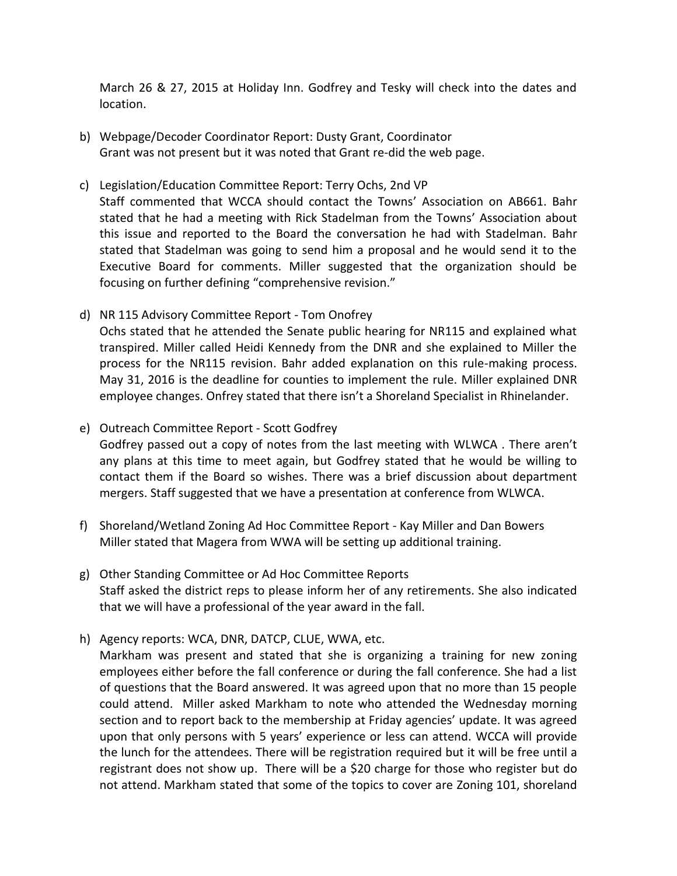March 26 & 27, 2015 at Holiday Inn. Godfrey and Tesky will check into the dates and location.

- b) Webpage/Decoder Coordinator Report: Dusty Grant, Coordinator Grant was not present but it was noted that Grant re-did the web page.
- c) Legislation/Education Committee Report: Terry Ochs, 2nd VP

Staff commented that WCCA should contact the Towns' Association on AB661. Bahr stated that he had a meeting with Rick Stadelman from the Towns' Association about this issue and reported to the Board the conversation he had with Stadelman. Bahr stated that Stadelman was going to send him a proposal and he would send it to the Executive Board for comments. Miller suggested that the organization should be focusing on further defining "comprehensive revision."

- d) NR 115 Advisory Committee Report Tom Onofrey Ochs stated that he attended the Senate public hearing for NR115 and explained what transpired. Miller called Heidi Kennedy from the DNR and she explained to Miller the process for the NR115 revision. Bahr added explanation on this rule-making process. May 31, 2016 is the deadline for counties to implement the rule. Miller explained DNR employee changes. Onfrey stated that there isn't a Shoreland Specialist in Rhinelander.
- e) Outreach Committee Report Scott Godfrey Godfrey passed out a copy of notes from the last meeting with WLWCA . There aren't

any plans at this time to meet again, but Godfrey stated that he would be willing to contact them if the Board so wishes. There was a brief discussion about department mergers. Staff suggested that we have a presentation at conference from WLWCA.

- f) Shoreland/Wetland Zoning Ad Hoc Committee Report Kay Miller and Dan Bowers Miller stated that Magera from WWA will be setting up additional training.
- g) Other Standing Committee or Ad Hoc Committee Reports Staff asked the district reps to please inform her of any retirements. She also indicated that we will have a professional of the year award in the fall.
- h) Agency reports: WCA, DNR, DATCP, CLUE, WWA, etc.

Markham was present and stated that she is organizing a training for new zoning employees either before the fall conference or during the fall conference. She had a list of questions that the Board answered. It was agreed upon that no more than 15 people could attend. Miller asked Markham to note who attended the Wednesday morning section and to report back to the membership at Friday agencies' update. It was agreed upon that only persons with 5 years' experience or less can attend. WCCA will provide the lunch for the attendees. There will be registration required but it will be free until a registrant does not show up. There will be a \$20 charge for those who register but do not attend. Markham stated that some of the topics to cover are Zoning 101, shoreland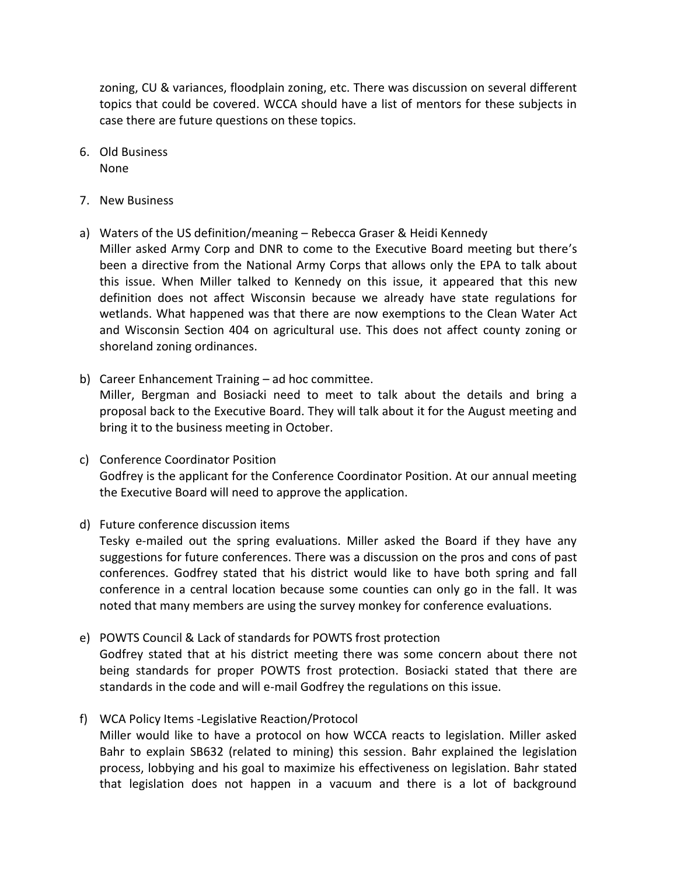zoning, CU & variances, floodplain zoning, etc. There was discussion on several different topics that could be covered. WCCA should have a list of mentors for these subjects in case there are future questions on these topics.

- 6. Old Business None
- 7. New Business
- a) Waters of the US definition/meaning Rebecca Graser & Heidi Kennedy Miller asked Army Corp and DNR to come to the Executive Board meeting but there's been a directive from the National Army Corps that allows only the EPA to talk about this issue. When Miller talked to Kennedy on this issue, it appeared that this new definition does not affect Wisconsin because we already have state regulations for wetlands. What happened was that there are now exemptions to the Clean Water Act and Wisconsin Section 404 on agricultural use. This does not affect county zoning or shoreland zoning ordinances.
- b) Career Enhancement Training ad hoc committee. Miller, Bergman and Bosiacki need to meet to talk about the details and bring a proposal back to the Executive Board. They will talk about it for the August meeting and bring it to the business meeting in October.
- c) Conference Coordinator Position Godfrey is the applicant for the Conference Coordinator Position. At our annual meeting the Executive Board will need to approve the application.
- d) Future conference discussion items Tesky e-mailed out the spring evaluations. Miller asked the Board if they have any suggestions for future conferences. There was a discussion on the pros and cons of past conferences. Godfrey stated that his district would like to have both spring and fall conference in a central location because some counties can only go in the fall. It was noted that many members are using the survey monkey for conference evaluations.
- e) POWTS Council & Lack of standards for POWTS frost protection Godfrey stated that at his district meeting there was some concern about there not being standards for proper POWTS frost protection. Bosiacki stated that there are standards in the code and will e-mail Godfrey the regulations on this issue.
- f) WCA Policy Items -Legislative Reaction/Protocol Miller would like to have a protocol on how WCCA reacts to legislation. Miller asked Bahr to explain SB632 (related to mining) this session. Bahr explained the legislation process, lobbying and his goal to maximize his effectiveness on legislation. Bahr stated that legislation does not happen in a vacuum and there is a lot of background